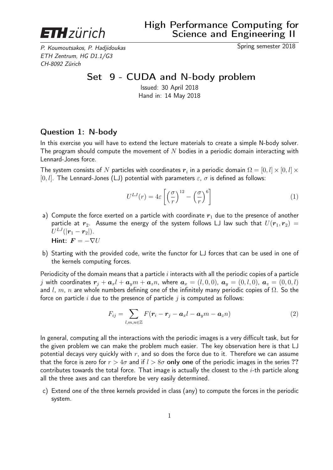

P. Koumoutsakos, P. Hadjidoukas Spring semester 2018 ETH Zentrum, HG D1.1/G3 CH-8092 Zürich

## Set 9 - CUDA and N-body problem

Issued: 30 April 2018 Hand in: 14 May 2018

## Question 1: N-body

In this exercise you will have to extend the lecture materials to create a simple N-body solver. The program should compute the movement of N bodies in a periodic domain interacting with Lennard-Jones force.

The system consists of  $N$  particles with coordinates  $\bm{r}_i$  in a periodic domain  $\Omega = [0,l] \times [0,l] \times$ [0, l]. The Lennard-Jones (LJ) potential with parameters  $\varepsilon$ ,  $\sigma$  is defined as follows:

$$
U^{LJ}(r) = 4\varepsilon \left[ \left( \frac{\sigma}{r} \right)^{12} - \left( \frac{\sigma}{r} \right)^6 \right] \tag{1}
$$

- a) Compute the force exerted on a particle with coordinate  $r_1$  due to the presence of another particle at  $r_2$ . Assume the energy of the system follows LJ law such that  $U(r_1, r_2) =$  $U^{LJ}(|\bm{r}_1-\bm{r}_2|).$ Hint:  $\mathbf{F} = -\nabla U$
- b) Starting with the provided code, write the functor for LJ forces that can be used in one of the kernels computing forces.

Periodicity of the domain means that a particle  $i$  interacts with all the periodic copies of a particle j with coordinates  $r_i + a_x l + a_y m + a_z n$ , where  $a_x = (l, 0, 0)$ ,  $a_y = (0, l, 0)$ ,  $a_z = (0, 0, l)$ and l, m, n are whole numbers defining one of the infinitely many periodic copies of  $\Omega$ . So the force on particle i due to the presence of particle j is computed as follows:

$$
F_{ij} = \sum_{l,m,n \in \mathbb{Z}} F(\mathbf{r}_i - \mathbf{r}_j - \mathbf{a}_x l - \mathbf{a}_y m - \mathbf{a}_z n)
$$
(2)

In general, computing all the interactions with the periodic images is a very difficult task, but for the given problem we can make the problem much easier. The key observation here is that LJ potential decays very quickly with  $r$ , and so does the force due to it. Therefore we can assume that the force is zero for  $r > 4\sigma$  and if  $l > 8\sigma$  only one of the periodic images in the series ?? contributes towards the total force. That image is actually the closest to the  $i$ -th particle along all the three axes and can therefore be very easily determined.

c) Extend one of the three kernels provided in class (any) to compute the forces in the periodic system.